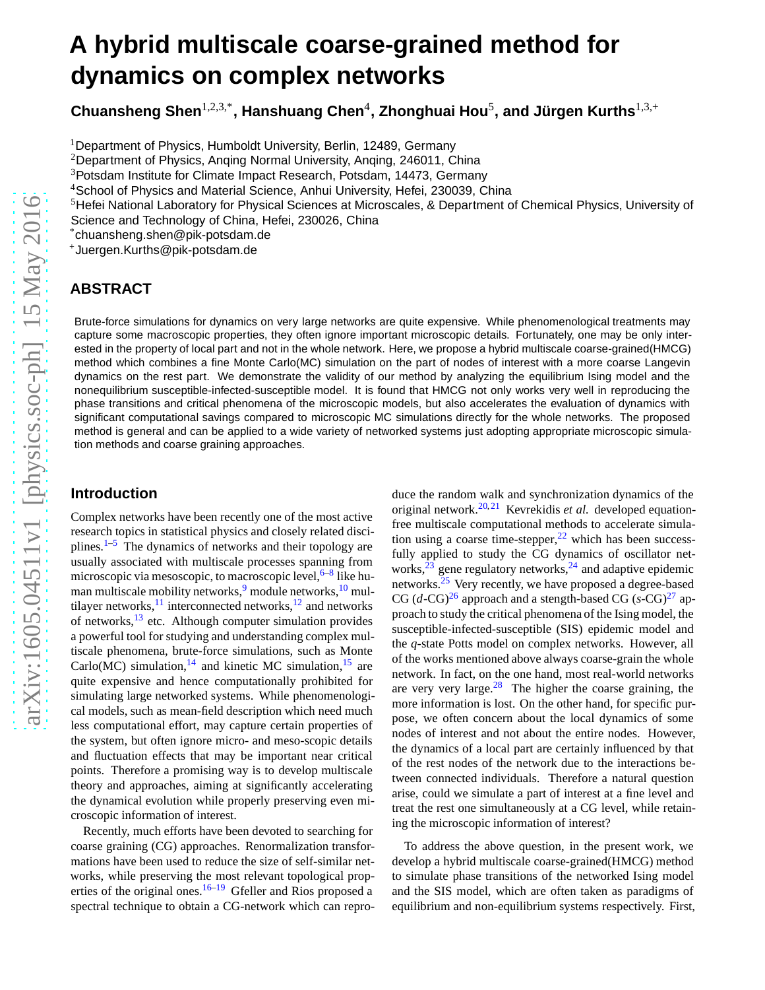# **A hybrid multiscale coarse-grained method for dynamics on complex networks**

 ${\sf Chuansheng Shen}^{1,2,3,*},$  Hanshuang Chen $^4$ , Zhonghuai Hou $^5$ , and Jürgen Kurths $^{1,3,+}$ 

<sup>1</sup>Department of Physics, Humboldt University, Berlin, 12489, Germany

<sup>2</sup>Department of Physics, Anqing Normal University, Anqing, 246011, China

<sup>3</sup>Potsdam Institute for Climate Impact Research, Potsdam, 14473, Germany

<sup>4</sup>School of Physics and Material Science, Anhui University, Hefei, 230039, China

<sup>5</sup>Hefei National Laboratory for Physical Sciences at Microscales, & Department of Chemical Physics, University of

Science and Technology of China, Hefei, 230026, China

\*chuansheng.shen@pik-potsdam.de

<sup>+</sup>Juergen.Kurths@pik-potsdam.de

## **ABSTRACT**

Brute-force simulations for dynamics on very large networks are quite expensive. While phenomenological treatments may capture some macroscopic properties, they often ignore important microscopic details. Fortunately, one may be only interested in the property of local part and not in the whole network. Here, we propose a hybrid multiscale coarse-grained(HMCG) method which combines a fine Monte Carlo(MC) simulation on the part of nodes of interest with a more coarse Langevin dynamics on the rest part. We demonstrate the validity of our method by analyzing the equilibrium Ising model and the nonequilibrium susceptible-infected-susceptible model. It is found that HMCG not only works very well in reproducing the phase transitions and critical phenomena of the microscopic models, but also accelerates the evaluation of dynamics with significant computational savings compared to microscopic MC simulations directly for the whole networks. The proposed method is general and can be applied to a wide variety of networked systems just adopting appropriate microscopic simulation methods and coarse graining approaches.

#### **Introduction**

Complex networks have been recently one of the most active research topics in statistical physics and closely related disciplines. $1-5$  $1-5$  The dynamics of networks and their topology are usually associated with multiscale processes spanning from microscopic via mesoscopic, to macroscopic level, <sup>[6–](#page-5-2)[8](#page-5-3)</sup> like hu-man multiscale mobility networks,<sup>[9](#page-5-4)</sup> module networks,<sup>[10](#page-5-5)</sup> multilayer networks, $^{11}$  $^{11}$  $^{11}$  interconnected networks, $^{12}$  $^{12}$  $^{12}$  and networks of networks, $^{13}$  $^{13}$  $^{13}$  etc. Although computer simulation provides a powerful tool for studying and understanding complex multiscale phenomena, brute-force simulations, such as Monte Carlo(MC) simulation, <sup>[14](#page-6-3)</sup> and kinetic MC simulation, <sup>[15](#page-6-4)</sup> are quite expensive and hence computationally prohibited for simulating large networked systems. While phenomenological models, such as mean-field description which need much less computational effort, may capture certain properties of the system, but often ignore micro- and meso-scopic details and fluctuation effects that may be important near critical points. Therefore a promising way is to develop multiscale theory and approaches, aiming at significantly accelerating the dynamical evolution while properly preserving even microscopic information of interest.

Recently, much efforts have been devoted to searching for coarse graining (CG) approaches. Renormalization transformations have been used to reduce the size of self-similar networks, while preserving the most relevant topological prop-erties of the original ones.<sup>[16](#page-6-5)[–19](#page-6-6)</sup> Gfeller and Rios proposed a spectral technique to obtain a CG-network which can repro-

duce the random walk and synchronization dynamics of the original network.[20,](#page-6-7)[21](#page-6-8) Kevrekidis *et al.* developed equationfree multiscale computational methods to accelerate simulation using a coarse time-stepper,  $2^2$  which has been successfully applied to study the CG dynamics of oscillator networks, $^{23}$  $^{23}$  $^{23}$  gene regulatory networks, $^{24}$  $^{24}$  $^{24}$  and adaptive epidemic networks.<sup>[25](#page-6-12)</sup> Very recently, we have proposed a degree-based CG  $(d$ -CG $)^{26}$  $)^{26}$  $)^{26}$  approach and a stength-based CG  $(s$ -CG $)^{27}$  $)^{27}$  $)^{27}$  approach to study the critical phenomena of the Ising model, the susceptible-infected-susceptible (SIS) epidemic model and the *q*-state Potts model on complex networks. However, all of the works mentioned above always coarse-grain the whole network. In fact, on the one hand, most real-world networks are very very large.<sup>[28](#page-6-15)</sup> The higher the coarse graining, the more information is lost. On the other hand, for specific purpose, we often concern about the local dynamics of some nodes of interest and not about the entire nodes. However, the dynamics of a local part are certainly influenced by that of the rest nodes of the network due to the interactions between connected individuals. Therefore a natural question arise, could we simulate a part of interest at a fine level and treat the rest one simultaneously at a CG level, while retaining the microscopic information of interest?

To address the above question, in the present work, we develop a hybrid multiscale coarse-grained(HMCG) method to simulate phase transitions of the networked Ising model and the SIS model, which are often taken as paradigms of equilibrium and non-equilibrium systems respectively. First,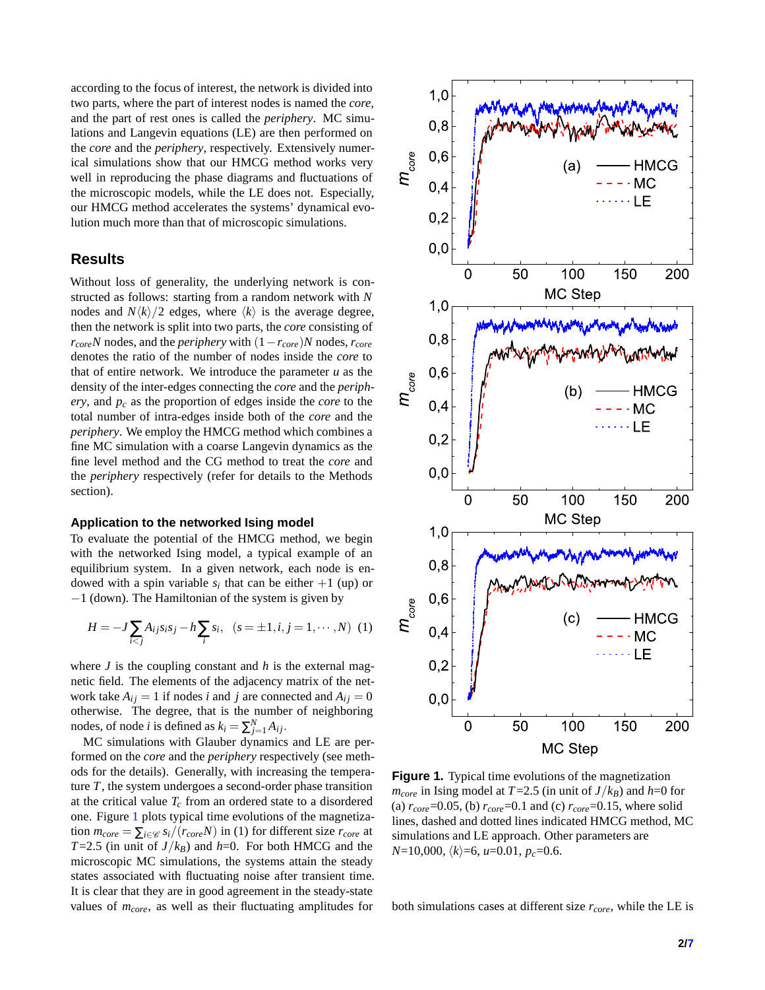according to the focus of interest, the network is divided into two parts, where the part of interest nodes is named the *core*, and the part of rest ones is called the *periphery*. MC simulations and Langevin equations (LE) are then performed on the *core* and the *periphery*, respectively. Extensively numerical simulations show that our HMCG method works very well in reproducing the phase diagrams and fluctuations of the microscopic models, while the LE does not. Especially, our HMCG method accelerates the systems' dynamical evolution much more than that of microscopic simulations.

## **Results**

Without loss of generality, the underlying network is constructed as follows: starting from a random network with *N* nodes and  $N\langle k \rangle/2$  edges, where  $\langle k \rangle$  is the average degree, then the network is split into two parts, the *core* consisting of  $r_{core}$ *N* nodes, and the *periphery* with  $(1 - r_{core})$ *N* nodes,  $r_{core}$ denotes the ratio of the number of nodes inside the *core* to that of entire network. We introduce the parameter  $u$  as the density of the inter-edges connecting the *core* and the *periphery*, and *p<sup>c</sup>* as the proportion of edges inside the *core* to the total number of intra-edges inside both of the *core* and the *periphery*. We employ the HMCG method which combines a fine MC simulation with a coarse Langevin dynamics as the fine level method and the CG method to treat the *core* and the *periphery* respectively (refer for details to the Methods section).

#### **Application to the networked Ising model**

To evaluate the potential of the HMCG method, we begin with the networked Ising model, a typical example of an equilibrium system. In a given network, each node is endowed with a spin variable  $s_i$  that can be either  $+1$  (up) or −1 (down). The Hamiltonian of the system is given by

$$
H = -J \sum_{i < j} A_{ij} s_i s_j - h \sum_i s_i, \quad (s = \pm 1, i, j = 1, \cdots, N) \tag{1}
$$

where  $J$  is the coupling constant and  $h$  is the external magnetic field. The elements of the adjacency matrix of the network take  $A_{ij} = 1$  if nodes *i* and *j* are connected and  $A_{ij} = 0$ otherwise. The degree, that is the number of neighboring nodes, of node *i* is defined as  $k_i = \sum_{j=1}^{N} A_{ij}$ .

MC simulations with Glauber dynamics and LE are performed on the *core* and the *periphery* respectively (see methods for the details). Generally, with increasing the temperature *T*, the system undergoes a second-order phase transition at the critical value  $T_c$  from an ordered state to a disordered one. Figure [1](#page-1-0) plots typical time evolutions of the magnetization  $m_{core} = \sum_{i \in \mathcal{C}} s_i/(r_{core}N)$  in (1) for different size  $r_{core}$  at *T*=2.5 (in unit of *J*/ $k_B$ ) and *h*=0. For both HMCG and the microscopic MC simulations, the systems attain the steady states associated with fluctuating noise after transient time. It is clear that they are in good agreement in the steady-state values of *mcore*, as well as their fluctuating amplitudes for

<span id="page-1-0"></span>

Figure 1. Typical time evolutions of the magnetization  $m_{core}$  in Ising model at *T*=2.5 (in unit of *J*/*k*<sub>*B*</sub>) and *h*=0 for (a)  $r_{core} = 0.05$ , (b)  $r_{core} = 0.1$  and (c)  $r_{core} = 0.15$ , where solid lines, dashed and dotted lines indicated HMCG method, MC simulations and LE approach. Other parameters are *N*=10,000,  $\langle k \rangle$ =6, *u*=0.01, *p<sub>c</sub>*=0.6.

both simulations cases at different size *rcore*, while the LE is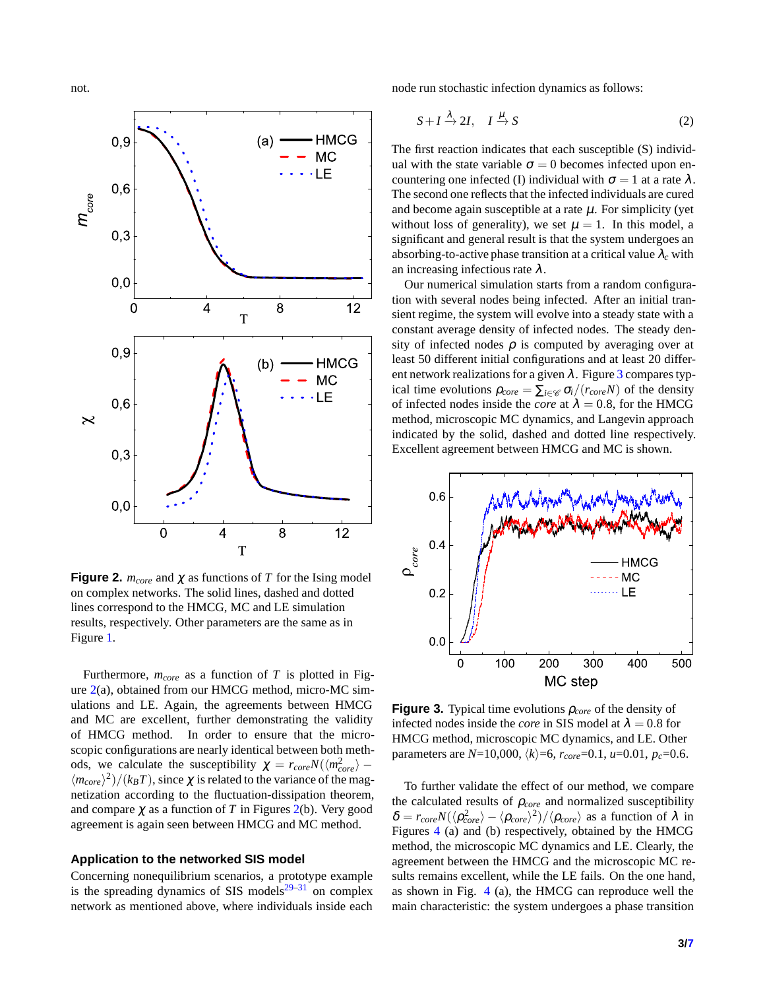<span id="page-2-0"></span>

**Figure 2.**  $m_{core}$  and  $\chi$  as functions of T for the Ising model on complex networks. The solid lines, dashed and dotted lines correspond to the HMCG, MC and LE simulation results, respectively. Other parameters are the same as in Figure [1.](#page-1-0)

Furthermore, *mcore* as a function of *T* is plotted in Figure  $2(a)$  $2(a)$ , obtained from our HMCG method, micro-MC simulations and LE. Again, the agreements between HMCG and MC are excellent, further demonstrating the validity of HMCG method. In order to ensure that the microscopic configurations are nearly identical between both methods, we calculate the susceptibility  $\chi = r_{core} N(\langle m_{core}^2 \rangle \langle m_{core} \rangle^2$ )/( $k_B T$ ), since  $\chi$  is related to the variance of the magnetization according to the fluctuation-dissipation theorem, and compare  $\chi$  as a function of *T* in Figures [2\(](#page-2-0)b). Very good agreement is again seen between HMCG and MC method.

#### **Application to the networked SIS model**

Concerning nonequilibrium scenarios, a prototype example is the spreading dynamics of SIS models $29-31$  $29-31$  on complex network as mentioned above, where individuals inside each node run stochastic infection dynamics as follows:

$$
S + I \xrightarrow{\lambda} 2I, \quad I \xrightarrow{\mu} S \tag{2}
$$

The first reaction indicates that each susceptible (S) individual with the state variable  $\sigma = 0$  becomes infected upon encountering one infected (I) individual with  $\sigma = 1$  at a rate  $\lambda$ . The second one reflects that the infected individuals are cured and become again susceptible at a rate  $\mu$ . For simplicity (yet without loss of generality), we set  $\mu = 1$ . In this model, a significant and general result is that the system undergoes an absorbing-to-active phase transition at a critical value  $\lambda_c$  with an increasing infectious rate  $\lambda$ .

Our numerical simulation starts from a random configuration with several nodes being infected. After an initial transient regime, the system will evolve into a steady state with a constant average density of infected nodes. The steady density of infected nodes  $\rho$  is computed by averaging over at least 50 different initial configurations and at least 20 different network realizations for a given  $\lambda$ . Figure [3](#page-2-1) compares typical time evolutions  $\rho_{core} = \sum_{i \in \mathcal{C}} \sigma_i/(r_{core}N)$  of the density of infected nodes inside the *core* at  $\lambda = 0.8$ , for the HMCG method, microscopic MC dynamics, and Langevin approach indicated by the solid, dashed and dotted line respectively. Excellent agreement between HMCG and MC is shown.

<span id="page-2-1"></span>

**Figure 3.** Typical time evolutions <sup>ρ</sup>*core* of the density of infected nodes inside the *core* in SIS model at  $\lambda = 0.8$  for HMCG method, microscopic MC dynamics, and LE. Other parameters are  $N=10,000, \langle k \rangle = 6, r_{core}=0.1, u=0.01, p_c=0.6$ .

To further validate the effect of our method, we compare the calculated results of  $\rho_{core}$  and normalized susceptibility  $\delta = r_{core} N(\langle \rho_{core}^2 \rangle - \langle \rho_{core} \rangle^2) / \langle \rho_{core} \rangle$  as a function of  $\lambda$  in Figures [4](#page-3-0) (a) and (b) respectively, obtained by the HMCG method, the microscopic MC dynamics and LE. Clearly, the agreement between the HMCG and the microscopic MC results remains excellent, while the LE fails. On the one hand, as shown in Fig. [4](#page-3-0) (a), the HMCG can reproduce well the main characteristic: the system undergoes a phase transition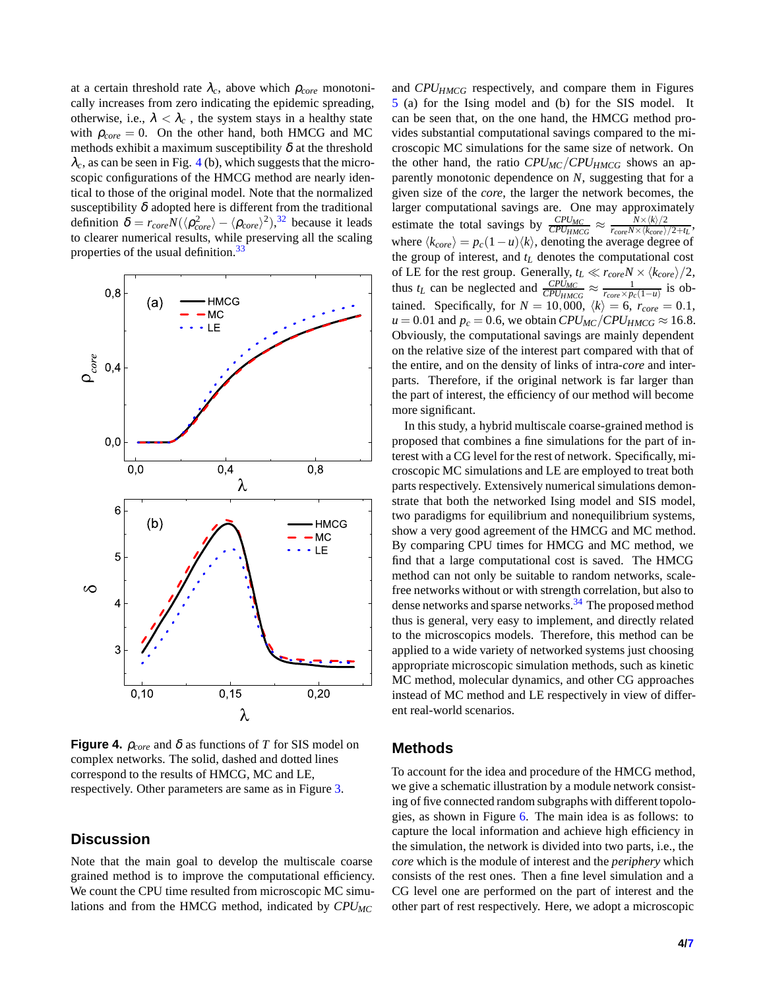at a certain threshold rate  $\lambda_c$ , above which  $\rho_{core}$  monotonically increases from zero indicating the epidemic spreading, otherwise, i.e.,  $\lambda < \lambda_c$ , the system stays in a healthy state with  $\rho_{core} = 0$ . On the other hand, both HMCG and MC methods exhibit a maximum susceptibility  $\delta$  at the threshold  $\lambda_c$ , as can be seen in Fig. [4](#page-3-0) (b), which suggests that the microscopic configurations of the HMCG method are nearly identical to those of the original model. Note that the normalized susceptibility  $\delta$  adopted here is different from the traditional definition  $\delta = r_{core} N(\langle \rho_{core}^2 \rangle - \langle \rho_{core} \rangle^2),^{32}$  $\delta = r_{core} N(\langle \rho_{core}^2 \rangle - \langle \rho_{core} \rangle^2),^{32}$  $\delta = r_{core} N(\langle \rho_{core}^2 \rangle - \langle \rho_{core} \rangle^2),^{32}$  because it leads to clearer numerical results, while preserving all the scaling properties of the usual definition.<sup>[33](#page-6-20)</sup>

<span id="page-3-0"></span>

**Figure 4.**  $\rho_{core}$  and  $\delta$  as functions of *T* for SIS model on complex networks. The solid, dashed and dotted lines correspond to the results of HMCG, MC and LE, respectively. Other parameters are same as in Figure [3.](#page-2-1)

## **Discussion**

Note that the main goal to develop the multiscale coarse grained method is to improve the computational efficiency. We count the CPU time resulted from microscopic MC simulations and from the HMCG method, indicated by *CPUMC*

and *CPUHMCG* respectively, and compare them in Figures [5](#page-4-0) (a) for the Ising model and (b) for the SIS model. It can be seen that, on the one hand, the HMCG method provides substantial computational savings compared to the microscopic MC simulations for the same size of network. On the other hand, the ratio *CPUMC*/*CPUHMCG* shows an apparently monotonic dependence on *N*, suggesting that for a given size of the *core*, the larger the network becomes, the larger computational savings are. One may approximately estimate the total savings by  $\frac{CPU_{MC}}{CPU_{HMCG}} \approx \frac{N \times \langle k \rangle/2}{r_{core}N \times \langle k_{core} \rangle}$  $\frac{N \times \langle K \rangle/2}{r_{core}N \times \langle k_{core} \rangle/2+t_L}$ where  $\langle k_{core} \rangle = p_c(1-u)\langle k \rangle$ , denoting the average degree of the group of interest, and *t<sup>L</sup>* denotes the computational cost of LE for the rest group. Generally,  $t_L \ll r_{core}N \times \langle k_{core} \rangle/2$ , thus *t*<sub>*L*</sub> can be neglected and  $\frac{CPU_{MC}}{CPU_{HMCG}} \approx \frac{1}{r_{core} \times p_c(1-u)}$  is obtained. Specifically, for  $N = 10,000, \langle k \rangle = 6, r_{core} = 0.1,$  $u = 0.01$  and  $p_c = 0.6$ , we obtain  $CPU_{MC}/CPU_{HMCG} \approx 16.8$ . Obviously, the computational savings are mainly dependent on the relative size of the interest part compared with that of the entire, and on the density of links of intra-*core* and interparts. Therefore, if the original network is far larger than the part of interest, the efficiency of our method will become more significant.

In this study, a hybrid multiscale coarse-grained method is proposed that combines a fine simulations for the part of interest with a CG level for the rest of network. Specifically, microscopic MC simulations and LE are employed to treat both parts respectively. Extensively numerical simulations demonstrate that both the networked Ising model and SIS model, two paradigms for equilibrium and nonequilibrium systems, show a very good agreement of the HMCG and MC method. By comparing CPU times for HMCG and MC method, we find that a large computational cost is saved. The HMCG method can not only be suitable to random networks, scalefree networks without or with strength correlation, but also to dense networks and sparse networks.<sup>[34](#page-6-21)</sup> The proposed method thus is general, very easy to implement, and directly related to the microscopics models. Therefore, this method can be applied to a wide variety of networked systems just choosing appropriate microscopic simulation methods, such as kinetic MC method, molecular dynamics, and other CG approaches instead of MC method and LE respectively in view of different real-world scenarios.

#### **Methods**

To account for the idea and procedure of the HMCG method, we give a schematic illustration by a module network consisting of five connected random subgraphs with different topologies, as shown in Figure [6.](#page-4-1) The main idea is as follows: to capture the local information and achieve high efficiency in the simulation, the network is divided into two parts, i.e., the *core* which is the module of interest and the *periphery* which consists of the rest ones. Then a fine level simulation and a CG level one are performed on the part of interest and the other part of rest respectively. Here, we adopt a microscopic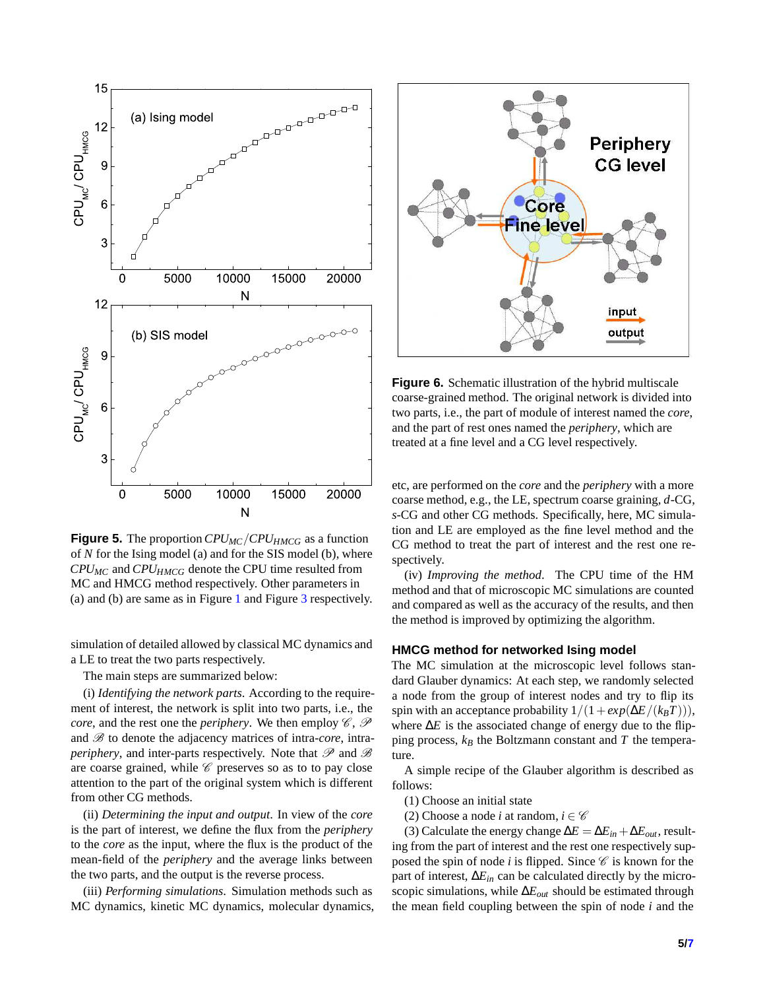<span id="page-4-0"></span>

**Figure 5.** The proportion*CPUMC*/*CPUHMCG* as a function of *N* for the Ising model (a) and for the SIS model (b), where *CPUMC* and *CPUHMCG* denote the CPU time resulted from MC and HMCG method respectively. Other parameters in (a) and (b) are same as in Figure [1](#page-1-0) and Figure [3](#page-2-1) respectively.

simulation of detailed allowed by classical MC dynamics and a LE to treat the two parts respectively.

The main steps are summarized below:

(i) *Identifying the network parts*. According to the requirement of interest, the network is split into two parts, i.e., the *core*, and the rest one the *periphery*. We then employ  $\mathscr{C}, \mathscr{P}$ and  $\mathscr{B}$  to denote the adjacency matrices of intra-*core*, intra*periphery*, and inter-parts respectively. Note that  $\mathscr P$  and  $\mathscr B$ are coarse grained, while  $\mathscr C$  preserves so as to to pay close attention to the part of the original system which is different from other CG methods.

(ii) *Determining the input and output*. In view of the *core* is the part of interest, we define the flux from the *periphery* to the *core* as the input, where the flux is the product of the mean-field of the *periphery* and the average links between the two parts, and the output is the reverse process.

(iii) *Performing simulations*. Simulation methods such as MC dynamics, kinetic MC dynamics, molecular dynamics,

<span id="page-4-1"></span>

**Figure 6.** Schematic illustration of the hybrid multiscale coarse-grained method. The original network is divided into two parts, i.e., the part of module of interest named the *core*, and the part of rest ones named the *periphery*, which are treated at a fine level and a CG level respectively.

etc, are performed on the *core* and the *periphery* with a more coarse method, e.g., the LE, spectrum coarse graining, *d*-CG, *s*-CG and other CG methods. Specifically, here, MC simulation and LE are employed as the fine level method and the CG method to treat the part of interest and the rest one respectively.

(iv) *Improving the method*. The CPU time of the HM method and that of microscopic MC simulations are counted and compared as well as the accuracy of the results, and then the method is improved by optimizing the algorithm.

#### **HMCG method for networked Ising model**

The MC simulation at the microscopic level follows standard Glauber dynamics: At each step, we randomly selected a node from the group of interest nodes and try to flip its spin with an acceptance probability  $1/(1+exp(\Delta E/(k_BT)))$ , where  $\Delta E$  is the associated change of energy due to the flipping process, *k<sup>B</sup>* the Boltzmann constant and *T* the temperature.

A simple recipe of the Glauber algorithm is described as follows:

(1) Choose an initial state

(2) Choose a node *i* at random,  $i \in \mathcal{C}$ 

(3) Calculate the energy change  $\Delta E = \Delta E_{in} + \Delta E_{out}$ , resulting from the part of interest and the rest one respectively supposed the spin of node  $i$  is flipped. Since  $\mathscr C$  is known for the part of interest, ∆*Ein* can be calculated directly by the microscopic simulations, while  $\Delta E_{out}$  should be estimated through the mean field coupling between the spin of node *i* and the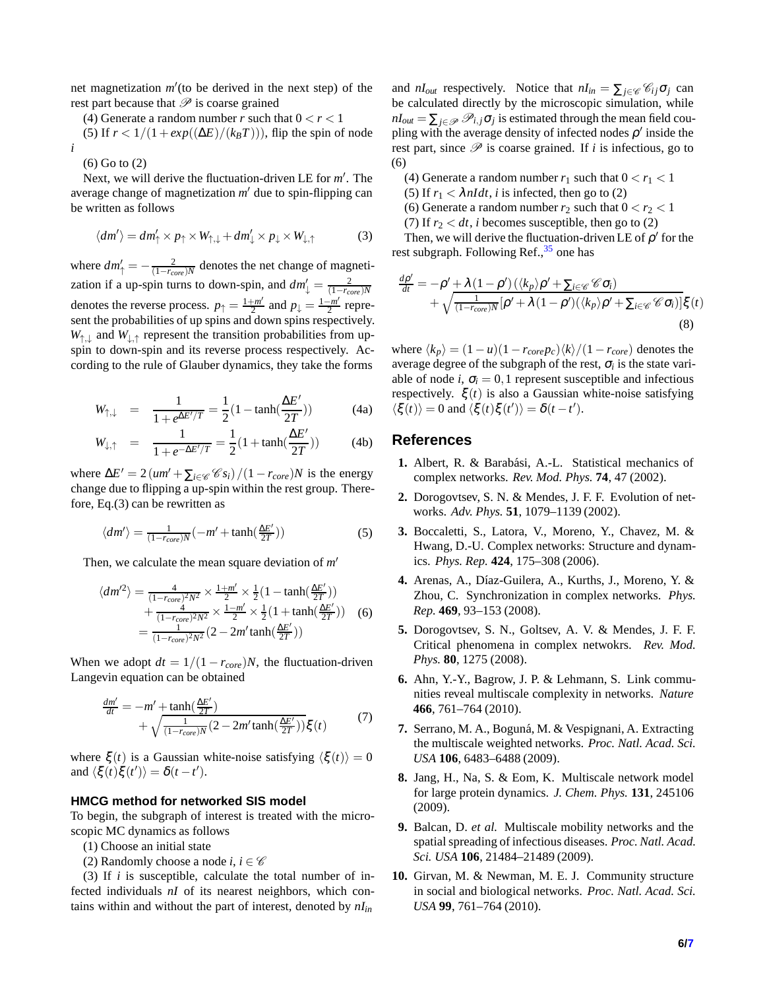net magnetization *m* ′ (to be derived in the next step) of the rest part because that  $\mathscr P$  is coarse grained

(4) Generate a random number *r* such that  $0 < r < 1$ (5) If  $r < 1/(1 + exp((\Delta E)/(k_B T)))$ , flip the spin of node *i*

(6) Go to (2)

Next, we will derive the fluctuation-driven LE for m'. The average change of magnetization *m* ′ due to spin-flipping can be written as follows

$$
\langle dm' \rangle = dm'_{\uparrow} \times p_{\uparrow} \times W_{\uparrow,\downarrow} + dm'_{\downarrow} \times p_{\downarrow} \times W_{\downarrow,\uparrow}
$$
 (3)

where  $dm'_{\uparrow} = -\frac{2}{(1 - r_{core})N}$  denotes the net change of magnetization if a up-spin turns to down-spin, and  $dm'_{\downarrow} = \frac{2}{(1 - r_{core})N}$ denotes the reverse process.  $p_{\uparrow} = \frac{1+m'}{2}$  and  $p_{\downarrow} = \frac{1-m'}{2}$  represent the probabilities of up spins and down spins respectively.  $W_{\uparrow,\downarrow}$  and  $W_{\downarrow,\uparrow}$  represent the transition probabilities from upspin to down-spin and its reverse process respectively. According to the rule of Glauber dynamics, they take the forms

$$
W_{\uparrow,\downarrow} = \frac{1}{1 + e^{\Delta E'/T}} = \frac{1}{2} (1 - \tanh(\frac{\Delta E'}{2T}))
$$
 (4a)

$$
W_{\downarrow,\uparrow} = \frac{1}{1 + e^{-\Delta E'/T}} = \frac{1}{2} (1 + \tanh(\frac{\Delta E'}{2T}))
$$
 (4b)

where  $\Delta E' = 2 \left( \frac{um'}{\sum_{i \in \mathcal{C}} G_{i}} \right) / (1 - r_{core}) N$  is the energy change due to flipping a up-spin within the rest group. Therefore, Eq.(3) can be rewritten as

$$
\langle dm' \rangle = \frac{1}{(1 - r_{core})N} \left( -m' + \tanh(\frac{\Delta E'}{2T}) \right) \tag{5}
$$

Then, we calculate the mean square deviation of *m* ′

$$
\langle dm'^2 \rangle = \frac{4}{(1 - r_{core})^2 N^2} \times \frac{1 + m'}{2} \times \frac{1}{2} (1 - \tanh(\frac{\Delta E'}{2T})) + \frac{4}{(1 - r_{core})^2 N^2} \times \frac{1 - m'}{2} \times \frac{1}{2} (1 + \tanh(\frac{\Delta E'}{2T})) \quad (6)
$$

$$
= \frac{1}{(1 - r_{core})^2 N^2} (2 - 2m' \tanh(\frac{\Delta E'}{2T}))
$$

When we adopt  $dt = 1/(1 - r_{core})N$ , the fluctuation-driven Langevin equation can be obtained

$$
\frac{dm'}{dt} = -m' + \tanh(\frac{\Delta E'}{2T}) + \sqrt{\frac{1}{(1 - r_{core})N}(2 - 2m' \tanh(\frac{\Delta E'}{2T}))}\xi(t)
$$
(7)

where  $\xi(t)$  is a Gaussian white-noise satisfying  $\langle \xi(t) \rangle = 0$ and  $\langle \xi(t)\xi(t')\rangle = \delta(t-t').$ 

#### **HMCG method for networked SIS model**

To begin, the subgraph of interest is treated with the microscopic MC dynamics as follows

- (1) Choose an initial state
- (2) Randomly choose a node *i*,  $i \in \mathscr{C}$

(3) If *i* is susceptible, calculate the total number of infected individuals *nI* of its nearest neighbors, which contains within and without the part of interest, denoted by *nIin*

and *nI*<sub>out</sub> respectively. Notice that  $nI_{in} = \sum_{j \in \mathcal{C}} \mathcal{C}_{ij} \sigma_j$  can be calculated directly by the microscopic simulation, while  $nI_{out} = \sum_{j \in \mathcal{P}} \mathcal{P}_{i,j} \sigma_j$  is estimated through the mean field coupling with the average density of infected nodes  $\rho'$  inside the rest part, since  $\mathscr P$  is coarse grained. If *i* is infectious, go to (6)

- (4) Generate a random number  $r_1$  such that  $0 < r_1 < 1$
- (5) If  $r_1 < \lambda n I dt$ , *i* is infected, then go to (2)
- (6) Generate a random number  $r_2$  such that  $0 < r_2 < 1$
- (7) If  $r_2 < dt$ , *i* becomes susceptible, then go to (2)

Then, we will derive the fluctuation-driven LE of  $\rho'$  for the rest subgraph. Following Ref.,<sup>[35](#page-6-22)</sup> one has

$$
\frac{d\rho'}{dt} = -\rho' + \lambda (1 - \rho') (\langle k_p \rangle \rho' + \sum_{i \in \mathcal{C}} \mathcal{C} \sigma_i) + \sqrt{\frac{1}{(1 - r_{core})N} [\rho' + \lambda (1 - \rho') (\langle k_p \rangle \rho' + \sum_{i \in \mathcal{C}} \mathcal{C} \sigma_i)]} \xi(t)
$$
\n(8)

where  $\langle k_p \rangle = (1 - u)(1 - r_{core} p_c)\langle k \rangle/(1 - r_{core})$  denotes the average degree of the subgraph of the rest,  $\sigma_i$  is the state variable of node *i*,  $\sigma_i = 0, 1$  represent susceptible and infectious respectively.  $\xi(t)$  is also a Gaussian white-noise satisfying  $\langle \xi(t) \rangle = 0$  and  $\langle \xi(t) \xi(t') \rangle = \delta(t - t').$ 

#### <span id="page-5-0"></span>**References**

- 1. Albert, R. & Barabási, A.-L. Statistical mechanics of complex networks. *Rev. Mod. Phys.* **74**, 47 (2002).
- **2.** Dorogovtsev, S. N. & Mendes, J. F. F. Evolution of networks. *Adv. Phys.* **51**, 1079–1139 (2002).
- **3.** Boccaletti, S., Latora, V., Moreno, Y., Chavez, M. & Hwang, D.-U. Complex networks: Structure and dynamics. *Phys. Rep.* **424**, 175–308 (2006).
- 4. Arenas, A., Díaz-Guilera, A., Kurths, J., Moreno, Y. & Zhou, C. Synchronization in complex networks. *Phys. Rep.* **469**, 93–153 (2008).
- <span id="page-5-1"></span>**5.** Dorogovtsev, S. N., Goltsev, A. V. & Mendes, J. F. F. Critical phenomena in complex netwokrs. *Rev. Mod. Phys.* **80**, 1275 (2008).
- <span id="page-5-2"></span>**6.** Ahn, Y.-Y., Bagrow, J. P. & Lehmann, S. Link communities reveal multiscale complexity in networks. *Nature* **466**, 761–764 (2010).
- 7. Serrano, M. A., Boguná, M. & Vespignani, A. Extracting the multiscale weighted networks. *Proc. Natl. Acad. Sci. USA* **106**, 6483–6488 (2009).
- <span id="page-5-3"></span>**8.** Jang, H., Na, S. & Eom, K. Multiscale network model for large protein dynamics. *J. Chem. Phys.* **131**, 245106 (2009).
- <span id="page-5-4"></span>**9.** Balcan, D. *et al.* Multiscale mobility networks and the spatial spreading of infectious diseases. *Proc. Natl. Acad. Sci. USA* **106**, 21484–21489 (2009).
- <span id="page-5-5"></span>**10.** Girvan, M. & Newman, M. E. J. Community structure in social and biological networks. *Proc. Natl. Acad. Sci. USA* **99**, 761–764 (2010).